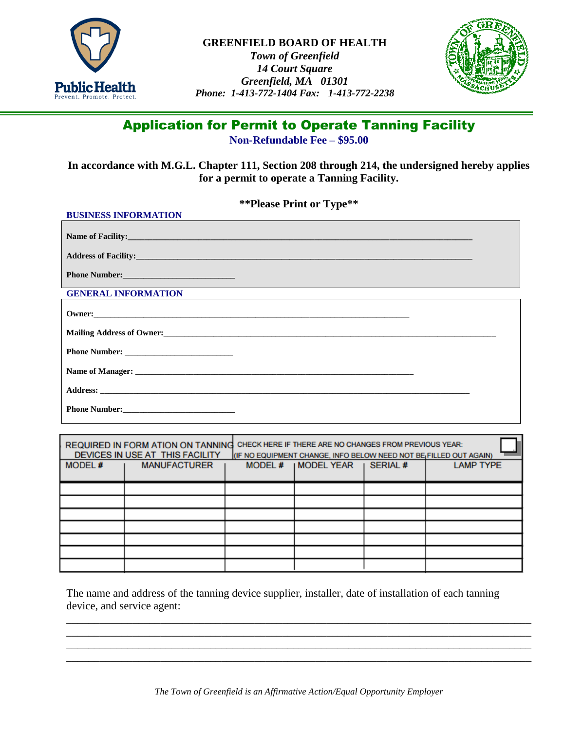



## Application for Permit to Operate Tanning Facility

**Non-Refundable Fee – \$95.00**

**In accordance with M.G.L. Chapter 111, Section 208 through 214, the undersigned hereby applies for a permit to operate a Tanning Facility.** 

| **Please Print or Type** |  |  |  |
|--------------------------|--|--|--|
|--------------------------|--|--|--|

| <b>BUSINESS INFORMATION</b>                                                                                    |
|----------------------------------------------------------------------------------------------------------------|
| Name of Facility: Name of Facility:                                                                            |
|                                                                                                                |
| Phone Number:                                                                                                  |
| <b>GENERAL INFORMATION</b><br>,我们也不会有什么。""我们的人,我们也不会有什么?""我们的人,我们也不会有什么?""我们的人,我们也不会有什么?""我们的人,我们也不会有什么?""我们的人 |
|                                                                                                                |
|                                                                                                                |
|                                                                                                                |
|                                                                                                                |
|                                                                                                                |
| <b>Phone Number:</b> New York 1988                                                                             |

| MODEL# | <b>REQUIRED IN FORM ATION ON TANNING</b><br>DEVICES IN USE AT THIS FACILITY<br><b>MANUFACTURER</b> | MODEL # | CHECK HERE IF THERE ARE NO CHANGES FROM PREVIOUS YEAR:<br>(IF NO EQUIPMENT CHANGE, INFO BELOW NEED NOT BE FILLED OUT AGAIN)<br>I MODEL YEAR | <b>SERIAL#</b> | <b>LAMP TYPE</b> |
|--------|----------------------------------------------------------------------------------------------------|---------|---------------------------------------------------------------------------------------------------------------------------------------------|----------------|------------------|
|        |                                                                                                    |         |                                                                                                                                             |                |                  |
|        |                                                                                                    |         |                                                                                                                                             |                |                  |
|        |                                                                                                    |         |                                                                                                                                             |                |                  |
|        |                                                                                                    |         |                                                                                                                                             |                |                  |
|        |                                                                                                    |         |                                                                                                                                             |                |                  |
|        |                                                                                                    |         |                                                                                                                                             |                |                  |
|        |                                                                                                    |         |                                                                                                                                             |                |                  |

The name and address of the tanning device supplier, installer, date of installation of each tanning device, and service agent:

\_\_\_\_\_\_\_\_\_\_\_\_\_\_\_\_\_\_\_\_\_\_\_\_\_\_\_\_\_\_\_\_\_\_\_\_\_\_\_\_\_\_\_\_\_\_\_\_\_\_\_\_\_\_\_\_\_\_\_\_\_\_\_\_\_\_\_\_\_\_\_\_\_\_\_\_\_\_\_\_\_\_\_\_ \_\_\_\_\_\_\_\_\_\_\_\_\_\_\_\_\_\_\_\_\_\_\_\_\_\_\_\_\_\_\_\_\_\_\_\_\_\_\_\_\_\_\_\_\_\_\_\_\_\_\_\_\_\_\_\_\_\_\_\_\_\_\_\_\_\_\_\_\_\_\_\_\_\_\_\_\_\_\_\_\_\_\_\_ \_\_\_\_\_\_\_\_\_\_\_\_\_\_\_\_\_\_\_\_\_\_\_\_\_\_\_\_\_\_\_\_\_\_\_\_\_\_\_\_\_\_\_\_\_\_\_\_\_\_\_\_\_\_\_\_\_\_\_\_\_\_\_\_\_\_\_\_\_\_\_\_\_\_\_\_\_\_\_\_\_\_\_\_ \_\_\_\_\_\_\_\_\_\_\_\_\_\_\_\_\_\_\_\_\_\_\_\_\_\_\_\_\_\_\_\_\_\_\_\_\_\_\_\_\_\_\_\_\_\_\_\_\_\_\_\_\_\_\_\_\_\_\_\_\_\_\_\_\_\_\_\_\_\_\_\_\_\_\_\_\_\_\_\_\_\_\_\_